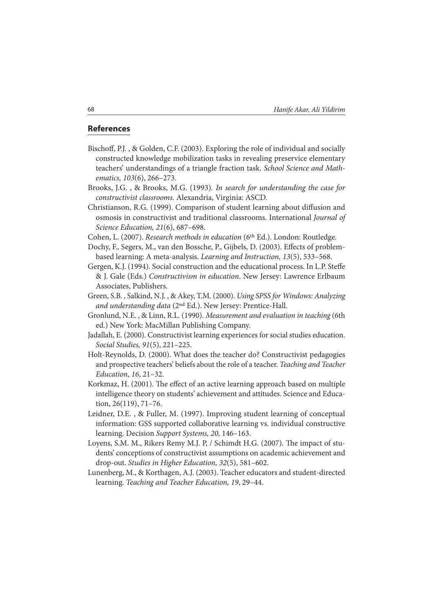## **References**

- Bischoff, P.J., & Golden, C.F. (2003). Exploring the role of individual and socially constructed knowledge mobilization tasks in revealing preservice elementary teachers' understandings of a triangle fraction task. School Science and Mathematics, 103(6), 266–273.
- Brooks, J.G. , & Brooks, M.G. (1993). In search for understanding the case for constructivist classrooms. Alexandria, Virginia: ASCD.
- Christianson, R.G. (1999). Comparison of student learning about diffusion and osmosis in constructivist and traditional classrooms. International Journal of Science Education, 21(6), 687–698.
- Cohen, L. (2007). Research methods in education (6th Ed.). London: Routledge.
- Dochy, F., Segers, M., van den Bossche, P., Gijbels, D. (2003). Effects of problembased learning: A meta-analysis. Learning and Instruction, 13(5), 533–568.
- Gergen, K.J. (1994). Social construction and the educational process. In L.P. Steffe & J. Gale (Eds.) Constructivism in education. New Jersey: Lawrence Erlbaum Associates, Publishers.
- Green, S.B. , Salkind, N.J. , & Akey, T.M. (2000). Using SPSS for Windows: Analyzing and understanding data (2nd Ed.). New Jersey: Prentice-Hall.
- Gronlund, N.E. , & Linn, R.L. (1990). Measurement and evaluation in teaching (6th ed.) New York: MacMillan Publishing Company.
- Jadallah, E. (2000). Constructivist learning experiences for social studies education. Social Studies, 91(5), 221–225.
- Holt-Reynolds, D. (2000). What does the teacher do? Constructivist pedagogies and prospective teachers' beliefs about the role of a teacher. Teaching and Teacher Education, 16, 21–32.
- Korkmaz, H. (2001). The effect of an active learning approach based on multiple intelligence theory on students' achievement and attitudes. Science and Education, 26(119), 71–76.
- Leidner, D.E. , & Fuller, M. (1997). Improving student learning of conceptual information: GSS supported collaborative learning vs. individual constructive learning. Decision Support Systems, 20, 146–163.
- Loyens, S.M. M., Rikers Remy M.J. P, / Schimdt H.G. (2007). The impact of students' conceptions of constructivist assumptions on academic achievement and drop-out. Studies in Higher Education, 32(5), 581–602.
- Lunenberg, M., & Korthagen, A.J. (2003). Teacher educators and student-directed learning. Teaching and Teacher Education, 19, 29–44.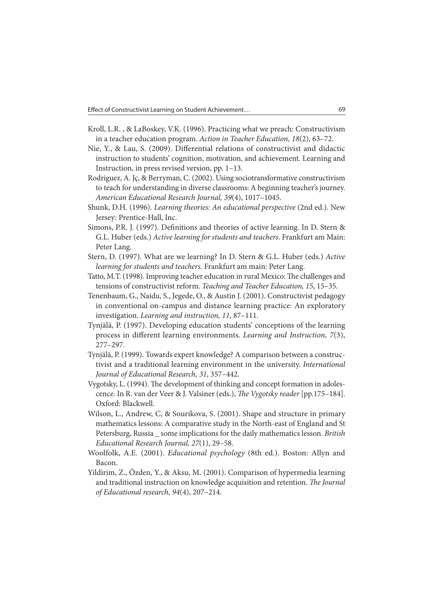- Kroll, L.R. , & LaBoskey, V.K. (1996). Practicing what we preach: Constructivism in a teacher education program. Action in Teacher Education, 18(2), 63–72.
- Nie, Y., & Lau, S. (2009). Differential relations of constructivist and didactic instruction to students' cognition, motivation, and achievement. Learning and Instruction, in press revised version, pp. 1–13.
- Rodriguez, A. Jç, & Berryman, C. (2002). Using sociotransformative constructivism to teach for understanding in diverse classrooms: A beginning teacher's journey. American Educational Research Journal, 39(4), 1017–1045.
- Shunk, D.H. (1996). Learning theories: An educational perspective (2nd ed.). New Jersey: Prentice-Hall, Inc.
- Simons, P.R. J. (1997). Definitions and theories of active learning. In D. Stern  $\&$ G.L. Huber (eds.) Active learning for students and teachers. Frankfurt am Main: Peter Lang.
- Stern, D. (1997). What are we learning? In D. Stern & G.L. Huber (eds.) Active learning for students and teachers. Frankfurt am main: Peter Lang.
- Tatto, M.T. (1998). Improving teacher education in rural Mexico: The challenges and tensions of constructivist reform. Teaching and Teacher Education, 15, 15–35.
- Tenenbaum, G., Naidu, S., Jegede, O., & Austin J. (2001). Constructivist pedagogy in conventional on-campus and distance learning practice: An exploratory investigation. Learning and instruction, 11, 87–111.
- Tynjälä, P. (1997). Developing education students' conceptions of the learning process in different learning environments. Learning and Instruction,  $7(3)$ , 277–297.
- Tynjälä, P. (1999). Towards expert knowledge? A comparison between a constructivist and a traditional learning environment in the university. International Journal of Educational Research, 31, 357–442.
- Vygotsky, L. (1994). The development of thinking and concept formation in adolescence. In R. van der Veer & J. Valsiner (eds.), The Vygotsky reader [pp.175-184]. Oxford: Blackwell.
- Wilson, L., Andrew, C, & Sourikova, S. (2001). Shape and structure in primary mathematics lessons: A comparative study in the North-east of England and St Petersburg, Russia \_ some implications for the daily mathematics lesson. British Educational Research Journal, 27(1), 29–58.
- Woolfolk, A.E. (2001). Educational psychology (8th ed.). Boston: Allyn and Bacon.
- Yildirim, Z., Özden, Y., & Aksu, M. (2001). Comparison of hypermedia learning and traditional instruction on knowledge acquisition and retention. The Journal of Educational research, 94(4), 207–214.